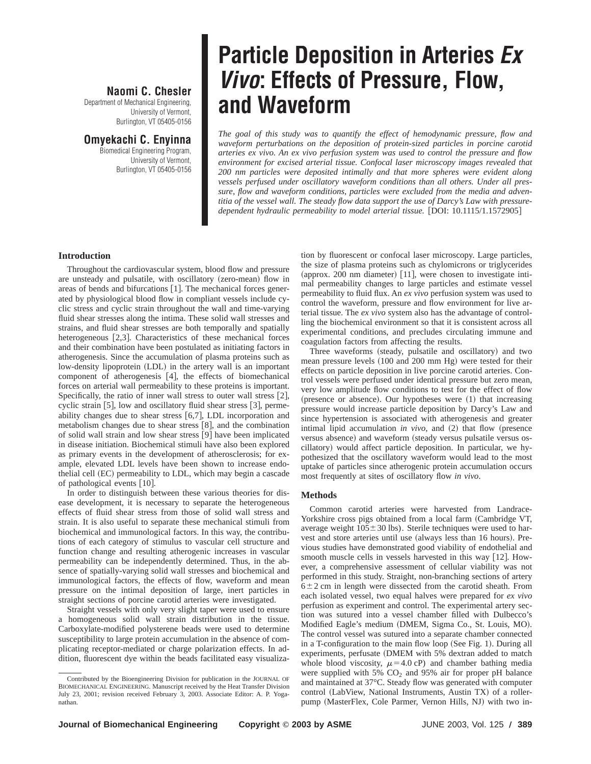**Naomi C. Chesler**

Department of Mechanical Engineering, University of Vermont, Burlington, VT 05405-0156

**Omyekachi C. Enyinna**

Biomedical Engineering Program, University of Vermont, Burlington, VT 05405-0156

# **Particle Deposition in Arteries Ex Vivo: Effects of Pressure, Flow, and Waveform**

*The goal of this study was to quantify the effect of hemodynamic pressure, flow and waveform perturbations on the deposition of protein-sized particles in porcine carotid arteries ex vivo. An ex vivo perfusion system was used to control the pressure and flow environment for excised arterial tissue. Confocal laser microscopy images revealed that 200 nm particles were deposited intimally and that more spheres were evident along vessels perfused under oscillatory waveform conditions than all others. Under all pressure, flow and waveform conditions, particles were excluded from the media and adventitia of the vessel wall. The steady flow data support the use of Darcy's Law with pressuredependent hydraulic permeability to model arterial tissue.* [DOI: 10.1115/1.1572905]

# **Introduction**

Throughout the cardiovascular system, blood flow and pressure are unsteady and pulsatile, with oscillatory (zero-mean) flow in areas of bends and bifurcations  $[1]$ . The mechanical forces generated by physiological blood flow in compliant vessels include cyclic stress and cyclic strain throughout the wall and time-varying fluid shear stresses along the intima. These solid wall stresses and strains, and fluid shear stresses are both temporally and spatially heterogeneous [2,3]. Characteristics of these mechanical forces and their combination have been postulated as initiating factors in atherogenesis. Since the accumulation of plasma proteins such as low-density lipoprotein (LDL) in the artery wall is an important component of atherogenesis  $[4]$ , the effects of biomechanical forces on arterial wall permeability to these proteins is important. Specifically, the ratio of inner wall stress to outer wall stress  $[2]$ , cyclic strain  $[5]$ , low and oscillatory fluid shear stress  $[3]$ , permeability changes due to shear stress  $[6,7]$ , LDL incorporation and metabolism changes due to shear stress  $[8]$ , and the combination of solid wall strain and low shear stress [9] have been implicated in disease initiation. Biochemical stimuli have also been explored as primary events in the development of atherosclerosis; for example, elevated LDL levels have been shown to increase endothelial cell (EC) permeability to LDL, which may begin a cascade of pathological events  $[10]$ .

In order to distinguish between these various theories for disease development, it is necessary to separate the heterogeneous effects of fluid shear stress from those of solid wall stress and strain. It is also useful to separate these mechanical stimuli from biochemical and immunological factors. In this way, the contributions of each category of stimulus to vascular cell structure and function change and resulting atherogenic increases in vascular permeability can be independently determined. Thus, in the absence of spatially-varying solid wall stresses and biochemical and immunological factors, the effects of flow, waveform and mean pressure on the intimal deposition of large, inert particles in straight sections of porcine carotid arteries were investigated.

Straight vessels with only very slight taper were used to ensure a homogeneous solid wall strain distribution in the tissue. Carboxylate-modified polysterene beads were used to determine susceptibility to large protein accumulation in the absence of complicating receptor-mediated or charge polarization effects. In addition, fluorescent dye within the beads facilitated easy visualization by fluorescent or confocal laser microscopy. Large particles, the size of plasma proteins such as chylomicrons or triglycerides (approx. 200 nm diameter)  $[11]$ , were chosen to investigate intimal permeability changes to large particles and estimate vessel permeability to fluid flux. An *ex vivo* perfusion system was used to control the waveform, pressure and flow environment for live arterial tissue. The *ex vivo* system also has the advantage of controlling the biochemical environment so that it is consistent across all experimental conditions, and precludes circulating immune and coagulation factors from affecting the results.

Three waveforms (steady, pulsatile and oscillatory) and two mean pressure levels (100 and 200 mm Hg) were tested for their effects on particle deposition in live porcine carotid arteries. Control vessels were perfused under identical pressure but zero mean, very low amplitude flow conditions to test for the effect of flow (presence or absence). Our hypotheses were  $(1)$  that increasing pressure would increase particle deposition by Darcy's Law and since hypertension is associated with atherogenesis and greater intimal lipid accumulation  $in$   $vivo$ , and  $(2)$  that flow (presence versus absence) and waveform (steady versus pulsatile versus oscillatory) would affect particle deposition. In particular, we hypothesized that the oscillatory waveform would lead to the most uptake of particles since atherogenic protein accumulation occurs most frequently at sites of oscillatory flow *in vivo*.

# **Methods**

Common carotid arteries were harvested from Landrace-Yorkshire cross pigs obtained from a local farm (Cambridge VT, average weight  $105 \pm 30$  lbs). Sterile techniques were used to harvest and store arteries until use (always less than 16 hours). Previous studies have demonstrated good viability of endothelial and smooth muscle cells in vessels harvested in this way  $[12]$ . However, a comprehensive assessment of cellular viability was not performed in this study. Straight, non-branching sections of artery  $6\pm2$  cm in length were dissected from the carotid sheath. From each isolated vessel, two equal halves were prepared for *ex vivo* perfusion as experiment and control. The experimental artery section was sutured into a vessel chamber filled with Dulbecco's Modified Eagle's medium (DMEM, Sigma Co., St. Louis, MO). The control vessel was sutured into a separate chamber connected in a T-configuration to the main flow loop (See Fig. 1). During all experiments, perfusate (DMEM with 5% dextran added to match whole blood viscosity,  $\mu$ =4.0 cP) and chamber bathing media were supplied with 5%  $CO<sub>2</sub>$  and 95% air for proper pH balance and maintained at 37°C. Steady flow was generated with computer control (LabView, National Instruments, Austin TX) of a rollerpump (MasterFlex, Cole Parmer, Vernon Hills, NJ) with two in-

Contributed by the Bioengineering Division for publication in the JOURNAL OF BIOMECHANICAL ENGINEERING. Manuscript received by the Heat Transfer Division July 23, 2001; revision received February 3, 2003. Associate Editor: A. P. Yoganathan.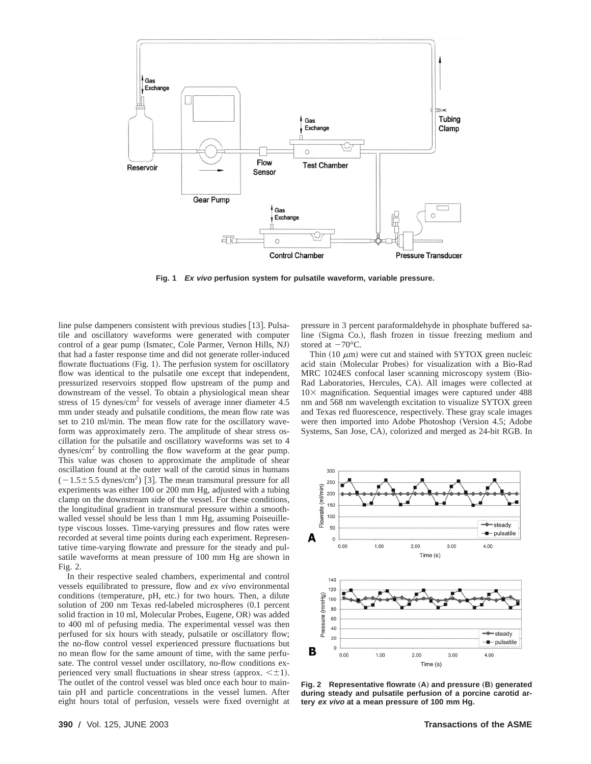

**Fig. 1 Ex vivo perfusion system for pulsatile waveform, variable pressure.**

line pulse dampeners consistent with previous studies  $[13]$ . Pulsatile and oscillatory waveforms were generated with computer control of a gear pump (Ismatec, Cole Parmer, Vernon Hills, NJ) that had a faster response time and did not generate roller-induced flowrate fluctuations  $(Fig. 1)$ . The perfusion system for oscillatory flow was identical to the pulsatile one except that independent, pressurized reservoirs stopped flow upstream of the pump and downstream of the vessel. To obtain a physiological mean shear stress of 15 dynes/cm<sup>2</sup> for vessels of average inner diameter  $4.5$ mm under steady and pulsatile conditions, the mean flow rate was set to 210 ml/min. The mean flow rate for the oscillatory waveform was approximately zero. The amplitude of shear stress oscillation for the pulsatile and oscillatory waveforms was set to 4  $dynes/cm<sup>2</sup>$  by controlling the flow waveform at the gear pump. This value was chosen to approximate the amplitude of shear oscillation found at the outer wall of the carotid sinus in humans  $(-1.5\pm5.5$  dynes/cm<sup>2</sup>) [3]. The mean transmural pressure for all experiments was either 100 or 200 mm Hg, adjusted with a tubing clamp on the downstream side of the vessel. For these conditions, the longitudinal gradient in transmural pressure within a smoothwalled vessel should be less than 1 mm Hg, assuming Poiseuilletype viscous losses. Time-varying pressures and flow rates were recorded at several time points during each experiment. Representative time-varying flowrate and pressure for the steady and pulsatile waveforms at mean pressure of 100 mm Hg are shown in Fig. 2.

In their respective sealed chambers, experimental and control vessels equilibrated to pressure, flow and *ex vivo* environmental conditions (temperature,  $pH$ , etc.) for two hours. Then, a dilute solution of  $200$  nm Texas red-labeled microspheres  $(0.1$  percent solid fraction in 10 ml, Molecular Probes, Eugene, OR) was added to 400 ml of pefusing media. The experimental vessel was then perfused for six hours with steady, pulsatile or oscillatory flow; the no-flow control vessel experienced pressure fluctuations but no mean flow for the same amount of time, with the same perfusate. The control vessel under oscillatory, no-flow conditions experienced very small fluctuations in shear stress (approx.  $\leq \pm 1$ ). The outlet of the control vessel was bled once each hour to maintain pH and particle concentrations in the vessel lumen. After eight hours total of perfusion, vessels were fixed overnight at

pressure in 3 percent paraformaldehyde in phosphate buffered saline (Sigma Co.), flash frozen in tissue freezing medium and stored at  $-70^{\circ}$ C.

Thin  $(10 \mu m)$  were cut and stained with SYTOX green nucleic acid stain (Molecular Probes) for visualization with a Bio-Rad MRC 1024ES confocal laser scanning microscopy system (Bio-Rad Laboratories, Hercules, CA). All images were collected at  $10\times$  magnification. Sequential images were captured under 488 nm and 568 nm wavelength excitation to visualize SYTOX green and Texas red fluorescence, respectively. These gray scale images were then imported into Adobe Photoshop (Version 4.5; Adobe Systems, San Jose, CA), colorized and merged as 24-bit RGB. In



**Fig. 2** Representative flowrate (A) and pressure (B) generated **during steady and pulsatile perfusion of a porcine carotid artery ex vivo at a mean pressure of 100 mm Hg.**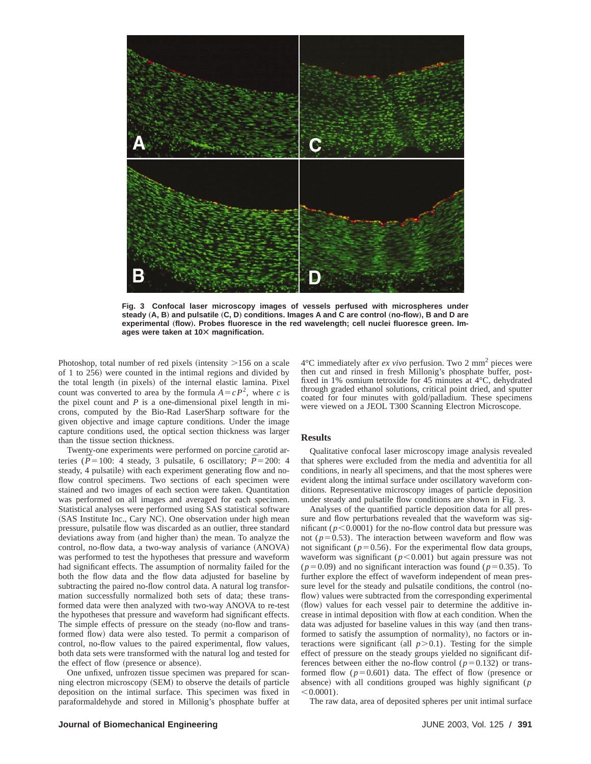

**Fig. 3 Confocal laser microscopy images of vessels perfused with microspheres under steady** "**A, B**… **and pulsatile** "**C, D**… **conditions. Images A and C are control** "**no-flow**…**, B and D are** experimental (flow). Probes fluoresce in the red wavelength; cell nuclei fluoresce green. Im**ages were taken at 10Ã magnification.**

Photoshop, total number of red pixels (intensity  $>156$  on a scale of 1 to 256) were counted in the intimal regions and divided by the total length (in pixels) of the internal elastic lamina. Pixel count was converted to area by the formula  $A = cP^2$ , where *c* is the pixel count and  $P$  is a one-dimensional pixel length in microns, computed by the Bio-Rad LaserSharp software for the given objective and image capture conditions. Under the image capture conditions used, the optical section thickness was larger than the tissue section thickness.

Twenty-one experiments were performed on porcine carotid arteries ( $\bar{P}$ =100: 4 steady, 3 pulsatile, 6 oscillatory;  $\bar{P}$ =200: 4 steady, 4 pulsatile) with each experiment generating flow and noflow control specimens. Two sections of each specimen were stained and two images of each section were taken. Quantitation was performed on all images and averaged for each specimen. Statistical analyses were performed using SAS statistical software (SAS Institute Inc., Cary NC). One observation under high mean pressure, pulsatile flow was discarded as an outlier, three standard deviations away from (and higher than) the mean. To analyze the control, no-flow data, a two-way analysis of variance (ANOVA) was performed to test the hypotheses that pressure and waveform had significant effects. The assumption of normality failed for the both the flow data and the flow data adjusted for baseline by subtracting the paired no-flow control data. A natural log transformation successfully normalized both sets of data; these transformed data were then analyzed with two-way ANOVA to re-test the hypotheses that pressure and waveform had significant effects. The simple effects of pressure on the steady (no-flow and transformed flow) data were also tested. To permit a comparison of control, no-flow values to the paired experimental, flow values, both data sets were transformed with the natural log and tested for the effect of flow (presence or absence).

One unfixed, unfrozen tissue specimen was prepared for scanning electron microscopy (SEM) to observe the details of particle deposition on the intimal surface. This specimen was fixed in paraformaldehyde and stored in Millonig's phosphate buffer at 4°C immediately after *ex vivo* perfusion. Two 2 mm<sup>2</sup> pieces were then cut and rinsed in fresh Millonig's phosphate buffer, postfixed in 1% osmium tetroxide for 45 minutes at 4°C, dehydrated through graded ethanol solutions, critical point dried, and sputter coated for four minutes with gold/palladium. These specimens were viewed on a JEOL T300 Scanning Electron Microscope.

### **Results**

Qualitative confocal laser microscopy image analysis revealed that spheres were excluded from the media and adventitia for all conditions, in nearly all specimens, and that the most spheres were evident along the intimal surface under oscillatory waveform conditions. Representative microscopy images of particle deposition under steady and pulsatile flow conditions are shown in Fig. 3.

Analyses of the quantified particle deposition data for all pressure and flow perturbations revealed that the waveform was significant ( $p$ <0.0001) for the no-flow control data but pressure was not ( $p=0.53$ ). The interaction between waveform and flow was not significant ( $p=0.56$ ). For the experimental flow data groups, waveform was significant  $(p<0.001)$  but again pressure was not  $(p=0.09)$  and no significant interaction was found  $(p=0.35)$ . To further explore the effect of waveform independent of mean pressure level for the steady and pulsatile conditions, the control (noflow) values were subtracted from the corresponding experimental (flow) values for each vessel pair to determine the additive increase in intimal deposition with flow at each condition. When the data was adjusted for baseline values in this way (and then transformed to satisfy the assumption of normality), no factors or interactions were significant (all  $p > 0.1$ ). Testing for the simple effect of pressure on the steady groups yielded no significant differences between either the no-flow control ( $p=0.132$ ) or transformed flow  $(p=0.601)$  data. The effect of flow (presence or absence) with all conditions grouped was highly significant (*p*  $< 0.0001$ ).

The raw data, area of deposited spheres per unit intimal surface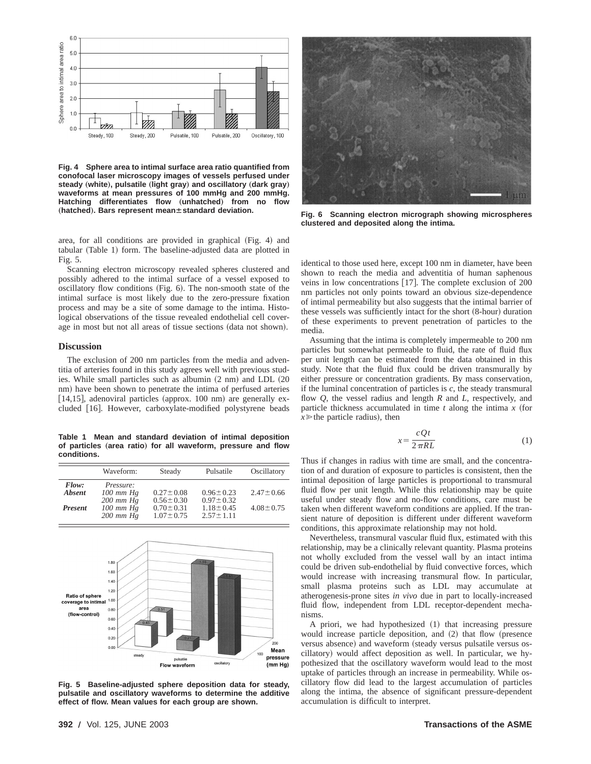

**Fig. 4 Sphere area to intimal surface area ratio quantified from conofocal laser microscopy images of vessels perfused under steady** "**white**…**, pulsatile** "**light gray**… **and oscillatory** "**dark gray**… **waveforms at mean pressures of 100 mmHg and 200 mmHg.** Hatching differentiates flow (unhatched) from no flow (hatched). Bars represent mean $\pm$ standard deviation.

area, for all conditions are provided in graphical (Fig. 4) and tabular (Table 1) form. The baseline-adjusted data are plotted in Fig. 5.

Scanning electron microscopy revealed spheres clustered and possibly adhered to the intimal surface of a vessel exposed to oscillatory flow conditions (Fig.  $6$ ). The non-smooth state of the intimal surface is most likely due to the zero-pressure fixation process and may be a site of some damage to the intima. Histological observations of the tissue revealed endothelial cell coverage in most but not all areas of tissue sections (data not shown).

#### **Discussion**

The exclusion of 200 nm particles from the media and adventitia of arteries found in this study agrees well with previous studies. While small particles such as albumin  $(2 \text{ nm})$  and LDL  $(20 \text{ nm})$ nm) have been shown to penetrate the intima of perfused arteries [14,15], adenoviral particles (approx. 100 nm) are generally excluded [16]. However, carboxylate-modified polystyrene beads

**Table 1 Mean and standard deviation of intimal deposition** of particles (area ratio) for all waveform, pressure and flow **conditions.**

|                        | Waveform:                                   | Steady                             | Pulsatile                          | Oscillatory     |
|------------------------|---------------------------------------------|------------------------------------|------------------------------------|-----------------|
| Flow:<br><b>Absent</b> | Pressure:<br>$100$ mm $Hg$<br>$200$ mm $Hg$ | $0.27 \pm 0.08$<br>$0.56 \pm 0.30$ | $0.96 \pm 0.23$<br>$0.97 \pm 0.32$ | $2.47 \pm 0.66$ |
| <b>Present</b>         | $100$ mm $Hg$<br>$200$ mm $Hg$              | $0.70 \pm 0.31$<br>$1.07 \pm 0.75$ | $1.18 \pm 0.45$<br>$2.57 \pm 1.11$ | $4.08 \pm 0.75$ |



**Fig. 5 Baseline-adjusted sphere deposition data for steady, pulsatile and oscillatory waveforms to determine the additive effect of flow. Mean values for each group are shown.**



**Fig. 6 Scanning electron micrograph showing microspheres clustered and deposited along the intima.**

identical to those used here, except 100 nm in diameter, have been shown to reach the media and adventitia of human saphenous veins in low concentrations  $[17]$ . The complete exclusion of 200 nm particles not only points toward an obvious size-dependence of intimal permeability but also suggests that the intimal barrier of these vessels was sufficiently intact for the short (8-hour) duration of these experiments to prevent penetration of particles to the media.

Assuming that the intima is completely impermeable to 200 nm particles but somewhat permeable to fluid, the rate of fluid flux per unit length can be estimated from the data obtained in this study. Note that the fluid flux could be driven transmurally by either pressure or concentration gradients. By mass conservation, if the luminal concentration of particles is *c*, the steady transmural flow *Q*, the vessel radius and length *R* and *L*, respectively, and particle thickness accumulated in time  $t$  along the intima  $x$  (for  $x \geq 0$  the particle radius), then

$$
x = \frac{cQt}{2\pi RL} \tag{1}
$$

Thus if changes in radius with time are small, and the concentration of and duration of exposure to particles is consistent, then the intimal deposition of large particles is proportional to transmural fluid flow per unit length. While this relationship may be quite useful under steady flow and no-flow conditions, care must be taken when different waveform conditions are applied. If the transient nature of deposition is different under different waveform conditions, this approximate relationship may not hold.

Nevertheless, transmural vascular fluid flux, estimated with this relationship, may be a clinically relevant quantity. Plasma proteins not wholly excluded from the vessel wall by an intact intima could be driven sub-endothelial by fluid convective forces, which would increase with increasing transmural flow. In particular, small plasma proteins such as LDL may accumulate at atherogenesis-prone sites *in vivo* due in part to locally-increased fluid flow, independent from LDL receptor-dependent mechanisms.

A priori, we had hypothesized  $(1)$  that increasing pressure would increase particle deposition, and  $(2)$  that flow (presence versus absence) and waveform (steady versus pulsatile versus oscillatory) would affect deposition as well. In particular, we hypothesized that the oscillatory waveform would lead to the most uptake of particles through an increase in permeability. While oscillatory flow did lead to the largest accumulation of particles along the intima, the absence of significant pressure-dependent accumulation is difficult to interpret.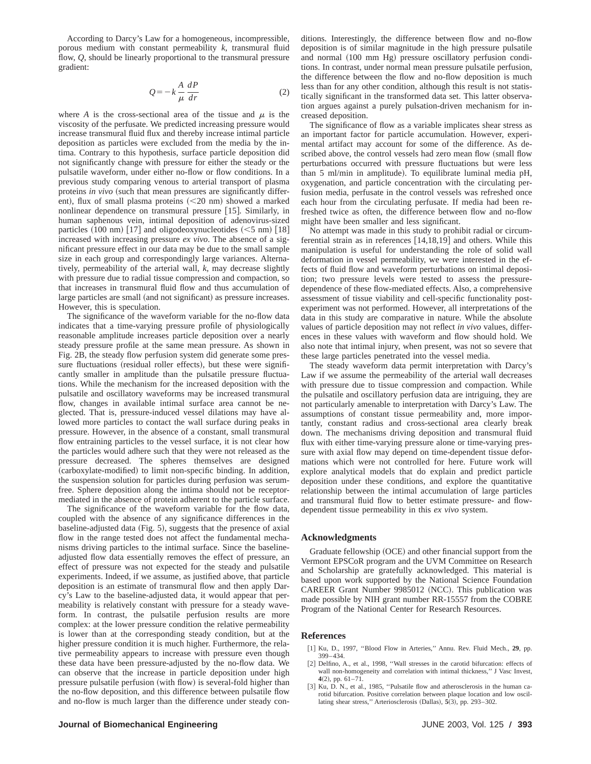According to Darcy's Law for a homogeneous, incompressible, porous medium with constant permeability *k*, transmural fluid flow, *Q*, should be linearly proportional to the transmural pressure gradient:

$$
Q = -k \frac{A}{\mu} \frac{dP}{dr}
$$
 (2)

where *A* is the cross-sectional area of the tissue and  $\mu$  is the viscosity of the perfusate. We predicted increasing pressure would increase transmural fluid flux and thereby increase intimal particle deposition as particles were excluded from the media by the intima. Contrary to this hypothesis, surface particle deposition did not significantly change with pressure for either the steady or the pulsatile waveform, under either no-flow or flow conditions. In a previous study comparing venous to arterial transport of plasma proteins *in vivo* (such that mean pressures are significantly different), flux of small plasma proteins  $(<20$  nm) showed a marked nonlinear dependence on transmural pressure [15]. Similarly, in human saphenous vein, intimal deposition of adenovirus-sized particles  $(100 \text{ nm})$  [17] and oligodeoxynucleotides  $(<5 \text{ nm})$  [18] increased with increasing pressure *ex vivo*. The absence of a significant pressure effect in our data may be due to the small sample size in each group and correspondingly large variances. Alternatively, permeability of the arterial wall, *k*, may decrease slightly with pressure due to radial tissue compression and compaction, so that increases in transmural fluid flow and thus accumulation of large particles are small (and not significant) as pressure increases. However, this is speculation.

The significance of the waveform variable for the no-flow data indicates that a time-varying pressure profile of physiologically reasonable amplitude increases particle deposition over a nearly steady pressure profile at the same mean pressure. As shown in Fig. 2B, the steady flow perfusion system did generate some pressure fluctuations (residual roller effects), but these were significantly smaller in amplitude than the pulsatile pressure fluctuations. While the mechanism for the increased deposition with the pulsatile and oscillatory waveforms may be increased transmural flow, changes in available intimal surface area cannot be neglected. That is, pressure-induced vessel dilations may have allowed more particles to contact the wall surface during peaks in pressure. However, in the absence of a constant, small transmural flow entraining particles to the vessel surface, it is not clear how the particles would adhere such that they were not released as the pressure decreased. The spheres themselves are designed (carboxylate-modified) to limit non-specific binding. In addition, the suspension solution for particles during perfusion was serumfree. Sphere deposition along the intima should not be receptormediated in the absence of protein adherent to the particle surface.

The significance of the waveform variable for the flow data, coupled with the absence of any significance differences in the baseline-adjusted data  $(Fig. 5)$ , suggests that the presence of axial flow in the range tested does not affect the fundamental mechanisms driving particles to the intimal surface. Since the baselineadjusted flow data essentially removes the effect of pressure, an effect of pressure was not expected for the steady and pulsatile experiments. Indeed, if we assume, as justified above, that particle deposition is an estimate of transmural flow and then apply Darcy's Law to the baseline-adjusted data, it would appear that permeability is relatively constant with pressure for a steady waveform. In contrast, the pulsatile perfusion results are more complex: at the lower pressure condition the relative permeability is lower than at the corresponding steady condition, but at the higher pressure condition it is much higher. Furthermore, the relative permeability appears to increase with pressure even though these data have been pressure-adjusted by the no-flow data. We can observe that the increase in particle deposition under high pressure pulsatile perfusion (with flow) is several-fold higher than the no-flow deposition, and this difference between pulsatile flow and no-flow is much larger than the difference under steady con-

ditions. Interestingly, the difference between flow and no-flow deposition is of similar magnitude in the high pressure pulsatile and normal (100 mm Hg) pressure oscillatory perfusion conditions. In contrast, under normal mean pressure pulsatile perfusion, the difference between the flow and no-flow deposition is much less than for any other condition, although this result is not statistically significant in the transformed data set. This latter observation argues against a purely pulsation-driven mechanism for increased deposition.

The significance of flow as a variable implicates shear stress as an important factor for particle accumulation. However, experimental artifact may account for some of the difference. As described above, the control vessels had zero mean flow (small flow perturbations occurred with pressure fluctuations but were less than 5 ml/min in amplitude). To equilibrate luminal media pH, oxygenation, and particle concentration with the circulating perfusion media, perfusate in the control vessels was refreshed once each hour from the circulating perfusate. If media had been refreshed twice as often, the difference between flow and no-flow might have been smaller and less significant.

No attempt was made in this study to prohibit radial or circumferential strain as in references  $[14,18,19]$  and others. While this manipulation is useful for understanding the role of solid wall deformation in vessel permeability, we were interested in the effects of fluid flow and waveform perturbations on intimal deposition; two pressure levels were tested to assess the pressuredependence of these flow-mediated effects. Also, a comprehensive assessment of tissue viability and cell-specific functionality postexperiment was not performed. However, all interpretations of the data in this study are comparative in nature. While the absolute values of particle deposition may not reflect *in vivo* values, differences in these values with waveform and flow should hold. We also note that intimal injury, when present, was not so severe that these large particles penetrated into the vessel media.

The steady waveform data permit interpretation with Darcy's Law if we assume the permeability of the arterial wall decreases with pressure due to tissue compression and compaction. While the pulsatile and oscillatory perfusion data are intriguing, they are not particularly amenable to interpretation with Darcy's Law. The assumptions of constant tissue permeability and, more importantly, constant radius and cross-sectional area clearly break down. The mechanisms driving deposition and transmural fluid flux with either time-varying pressure alone or time-varying pressure with axial flow may depend on time-dependent tissue deformations which were not controlled for here. Future work will explore analytical models that do explain and predict particle deposition under these conditions, and explore the quantitative relationship between the intimal accumulation of large particles and transmural fluid flow to better estimate pressure- and flowdependent tissue permeability in this *ex vivo* system.

#### **Acknowledgments**

Graduate fellowship (OCE) and other financial support from the Vermont EPSCoR program and the UVM Committee on Research and Scholarship are gratefully acknowledged. This material is based upon work supported by the National Science Foundation CAREER Grant Number 9985012 (NCC). This publication was made possible by NIH grant number RR-15557 from the COBRE Program of the National Center for Research Resources.

## **References**

- [1] Ku, D., 1997, "Blood Flow in Arteries," Annu. Rev. Fluid Mech., 29, pp. 399–434.
- [2] Delfino, A., et al., 1998, "Wall stresses in the carotid bifurcation: effects of wall non-homogeneity and correlation with intimal thickness,'' J Vasc Invest, 4(2), pp. 61-71.
- [3] Ku, D. N., et al., 1985, "Pulsatile flow and atherosclerosis in the human carotid bifurcation. Positive correlation between plaque location and low oscillating shear stress," Arteriosclerosis (Dallas), 5(3), pp. 293–302.